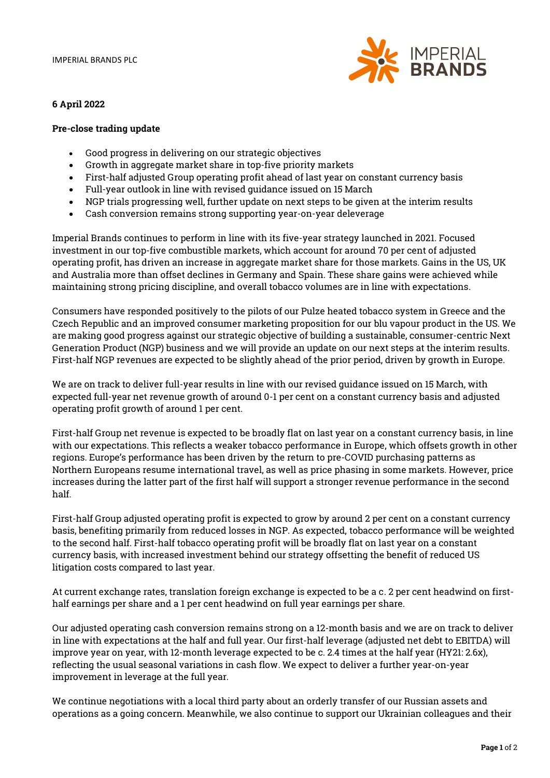

# 6 April 2022

## Pre-close trading update

- Good progress in delivering on our strategic objectives
- Growth in aggregate market share in top-five priority markets
- First-half adjusted Group operating profit ahead of last year on constant currency basis
- Full-year outlook in line with revised guidance issued on 15 March
- NGP trials progressing well, further update on next steps to be given at the interim results
- Cash conversion remains strong supporting year-on-year deleverage

Imperial Brands continues to perform in line with its five-year strategy launched in 2021. Focused investment in our top-five combustible markets, which account for around 70 per cent of adjusted operating profit, has driven an increase in aggregate market share for those markets. Gains in the US, UK and Australia more than offset declines in Germany and Spain. These share gains were achieved while maintaining strong pricing discipline, and overall tobacco volumes are in line with expectations.

Consumers have responded positively to the pilots of our Pulze heated tobacco system in Greece and the Czech Republic and an improved consumer marketing proposition for our blu vapour product in the US. We are making good progress against our strategic objective of building a sustainable, consumer-centric Next Generation Product (NGP) business and we will provide an update on our next steps at the interim results. First-half NGP revenues are expected to be slightly ahead of the prior period, driven by growth in Europe.

We are on track to deliver full-year results in line with our revised guidance issued on 15 March, with expected full-year net revenue growth of around 0-1 per cent on a constant currency basis and adjusted operating profit growth of around 1 per cent.

First-half Group net revenue is expected to be broadly flat on last year on a constant currency basis, in line with our expectations. This reflects a weaker tobacco performance in Europe, which offsets growth in other regions. Europe's performance has been driven by the return to pre-COVID purchasing patterns as Northern Europeans resume international travel, as well as price phasing in some markets. However, price increases during the latter part of the first half will support a stronger revenue performance in the second half.

First-half Group adjusted operating profit is expected to grow by around 2 per cent on a constant currency basis, benefiting primarily from reduced losses in NGP. As expected, tobacco performance will be weighted to the second half. First-half tobacco operating profit will be broadly flat on last year on a constant currency basis, with increased investment behind our strategy offsetting the benefit of reduced US litigation costs compared to last year.

At current exchange rates, translation foreign exchange is expected to be a c. 2 per cent headwind on firsthalf earnings per share and a 1 per cent headwind on full year earnings per share.

Our adjusted operating cash conversion remains strong on a 12-month basis and we are on track to deliver in line with expectations at the half and full year. Our first-half leverage (adjusted net debt to EBITDA) will improve year on year, with 12-month leverage expected to be c. 2.4 times at the half year (HY21: 2.6x), reflecting the usual seasonal variations in cash flow. We expect to deliver a further year-on-year improvement in leverage at the full year.

We continue negotiations with a local third party about an orderly transfer of our Russian assets and operations as a going concern. Meanwhile, we also continue to support our Ukrainian colleagues and their